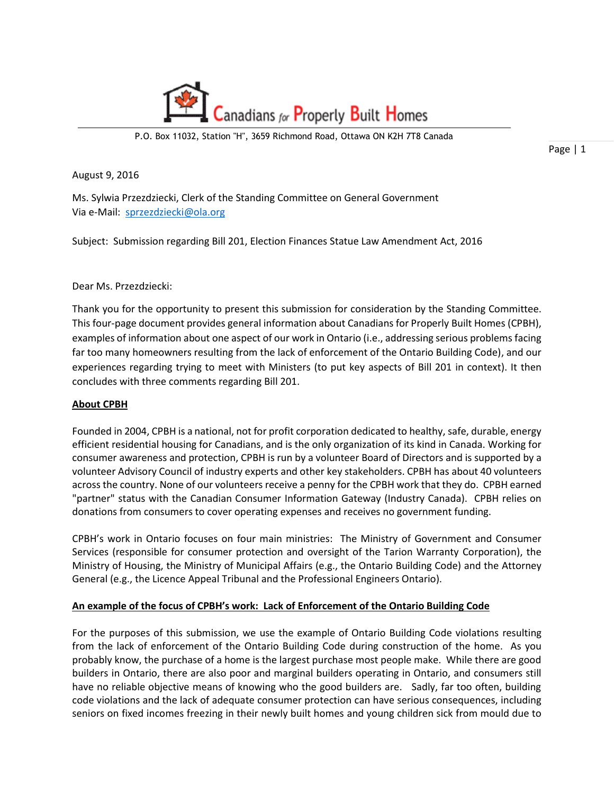

P.O. Box 11032, Station "H", 3659 Richmond Road, Ottawa ON K2H 7T8 Canada

Page | 1

August 9, 2016

Ms. Sylwia Przezdziecki, Clerk of the Standing Committee on General Government Via e-Mail: [sprzezdziecki@ola.org](mailto:sprzezdziecki@ola.org)

Subject: Submission regarding Bill 201, Election Finances Statue Law Amendment Act, 2016

## Dear Ms. Przezdziecki:

Thank you for the opportunity to present this submission for consideration by the Standing Committee. This four-page document provides general information about Canadians for Properly Built Homes (CPBH), examples of information about one aspect of our work in Ontario (i.e., addressing serious problems facing far too many homeowners resulting from the lack of enforcement of the Ontario Building Code), and our experiences regarding trying to meet with Ministers (to put key aspects of Bill 201 in context). It then concludes with three comments regarding Bill 201.

## **About CPBH**

Founded in 2004, CPBH is a national, not for profit corporation dedicated to healthy, safe, durable, energy efficient residential housing for Canadians, and is the only organization of its kind in Canada. Working for consumer awareness and protection, CPBH is run by a volunteer Board of Directors and is supported by a volunteer Advisory Council of industry experts and other key stakeholders. CPBH has about 40 volunteers across the country. None of our volunteers receive a penny for the CPBH work that they do. CPBH earned "partner" status with the Canadian Consumer Information Gateway (Industry Canada). CPBH relies on donations from consumers to cover operating expenses and receives no government funding.

CPBH's work in Ontario focuses on four main ministries: The Ministry of Government and Consumer Services (responsible for consumer protection and oversight of the Tarion Warranty Corporation), the Ministry of Housing, the Ministry of Municipal Affairs (e.g., the Ontario Building Code) and the Attorney General (e.g., the Licence Appeal Tribunal and the Professional Engineers Ontario).

## **An example of the focus of CPBH's work: Lack of Enforcement of the Ontario Building Code**

For the purposes of this submission, we use the example of Ontario Building Code violations resulting from the lack of enforcement of the Ontario Building Code during construction of the home. As you probably know, the purchase of a home is the largest purchase most people make. While there are good builders in Ontario, there are also poor and marginal builders operating in Ontario, and consumers still have no reliable objective means of knowing who the good builders are. Sadly, far too often, building code violations and the lack of adequate consumer protection can have serious consequences, including seniors on fixed incomes freezing in their newly built homes and young children sick from mould due to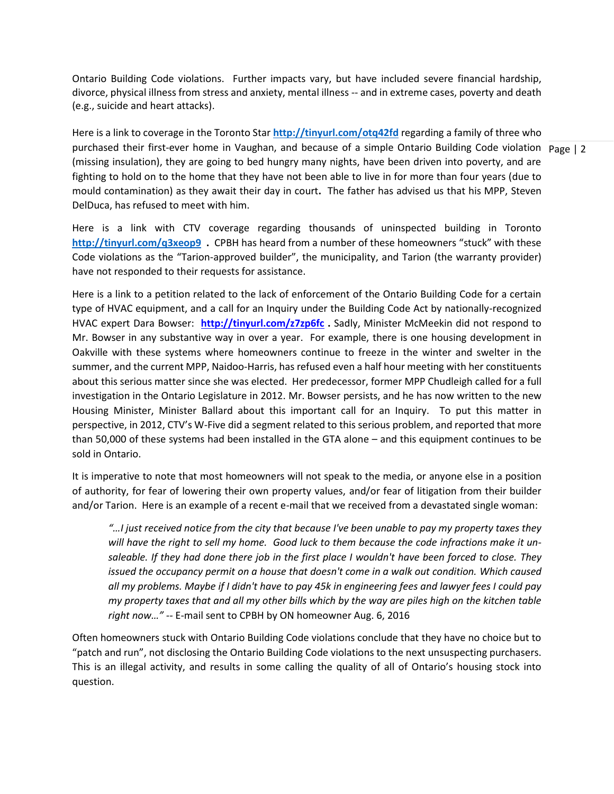Ontario Building Code violations. Further impacts vary, but have included severe financial hardship, divorce, physical illness from stress and anxiety, mental illness -- and in extreme cases, poverty and death (e.g., suicide and heart attacks).

purchased their first-ever home in Vaughan, and because of a simple Ontario Building Code violation Page | 2 Here is a link to coverage in the Toronto Star **<http://tinyurl.com/otq42fd>** regarding a family of three who (missing insulation), they are going to bed hungry many nights, have been driven into poverty, and are fighting to hold on to the home that they have not been able to live in for more than four years (due to mould contamination) as they await their day in court**.** The father has advised us that his MPP, Steven DelDuca, has refused to meet with him.

Here is a link with CTV coverage regarding thousands of uninspected building in Toronto **<http://tinyurl.com/q3xeop9>.** CPBH has heard from a number of these homeowners "stuck" with these Code violations as the "Tarion-approved builder", the municipality, and Tarion (the warranty provider) have not responded to their requests for assistance.

Here is a link to a petition related to the lack of enforcement of the Ontario Building Code for a certain type of HVAC equipment, and a call for an Inquiry under the Building Code Act by nationally-recognized HVAC expert Dara Bowser: **<http://tinyurl.com/z7zp6fc> .** Sadly, Minister McMeekin did not respond to Mr. Bowser in any substantive way in over a year. For example, there is one housing development in Oakville with these systems where homeowners continue to freeze in the winter and swelter in the summer, and the current MPP, Naidoo-Harris, has refused even a half hour meeting with her constituents about this serious matter since she was elected. Her predecessor, former MPP Chudleigh called for a full investigation in the Ontario Legislature in 2012. Mr. Bowser persists, and he has now written to the new Housing Minister, Minister Ballard about this important call for an Inquiry. To put this matter in perspective, in 2012, CTV's W-Five did a segment related to this serious problem, and reported that more than 50,000 of these systems had been installed in the GTA alone – and this equipment continues to be sold in Ontario.

It is imperative to note that most homeowners will not speak to the media, or anyone else in a position of authority, for fear of lowering their own property values, and/or fear of litigation from their builder and/or Tarion. Here is an example of a recent e-mail that we received from a devastated single woman:

*"…I just received notice from the city that because I've been unable to pay my property taxes they will have the right to sell my home. Good luck to them because the code infractions make it unsaleable. If they had done there job in the first place I wouldn't have been forced to close. They issued the occupancy permit on a house that doesn't come in a walk out condition. Which caused all my problems. Maybe if I didn't have to pay 45k in engineering fees and lawyer fees I could pay my property taxes that and all my other bills which by the way are piles high on the kitchen table right now…" --* E-mail sent to CPBH by ON homeowner Aug. 6, 2016

Often homeowners stuck with Ontario Building Code violations conclude that they have no choice but to "patch and run", not disclosing the Ontario Building Code violations to the next unsuspecting purchasers. This is an illegal activity, and results in some calling the quality of all of Ontario's housing stock into question.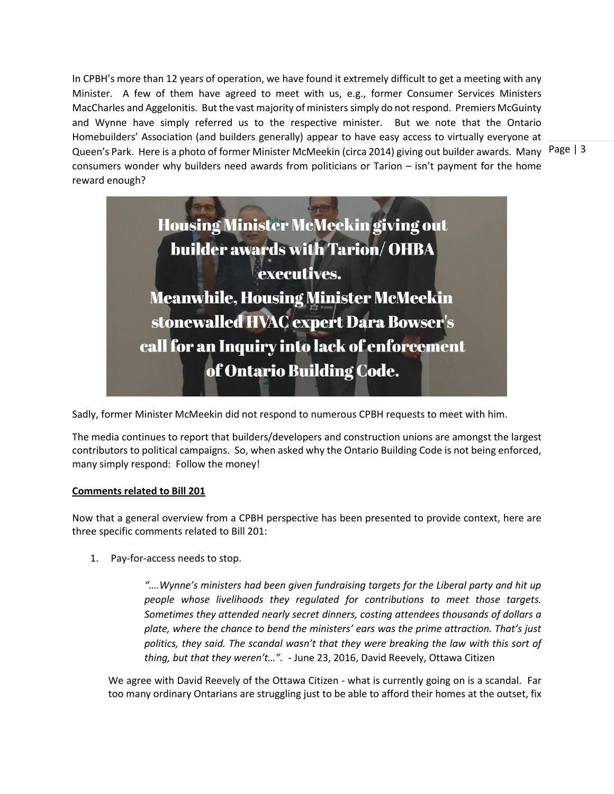Queen's Park. Here is a photo of former Minister McMeekin (circa 2014) giving out builder awards. Many Page | 3 In CPBH's more than 12 years of operation, we have found it extremely difficult to get a meeting with any Minister. A few of them have agreed to meet with us, e.g., former Consumer Services Ministers MacCharles and Aggelonitis. But the vast majority of ministers simply do not respond. Premiers McGuinty and Wynne have simply referred us to the respective minister. But we note that the Ontario Homebuilders' Association (and builders generally) appear to have easy access to virtually everyone at consumers wonder why builders need awards from politicians or Tarion – isn't payment for the home reward enough?





Sadly, former Minister McMeekin did not respond to numerous CPBH requests to meet with him.

The media continues to report that builders/developers and construction unions are amongst the largest contributors to political campaigns. So, when asked why the Ontario Building Code is not being enforced, many simply respond: Follow the money!

## **Comments related to Bill 201**

Now that a general overview from a CPBH perspective has been presented to provide context, here are three specific comments related to Bill 201:

1. Pay-for-access needs to stop.

*"….Wynne's ministers had been given fundraising targets for the Liberal party and hit up people whose livelihoods they regulated for contributions to meet those targets. Sometimes they attended nearly secret dinners, costing attendees thousands of dollars a plate, where the chance to bend the ministers' ears was the prime attraction. That's just politics, they said. The scandal wasn't that they were breaking the law with this sort of thing, but that they weren't…".* - June 23, 2016, David Reevely, Ottawa Citizen

We agree with David Reevely of the Ottawa Citizen - what is currently going on is a scandal. Far too many ordinary Ontarians are struggling just to be able to afford their homes at the outset, fix